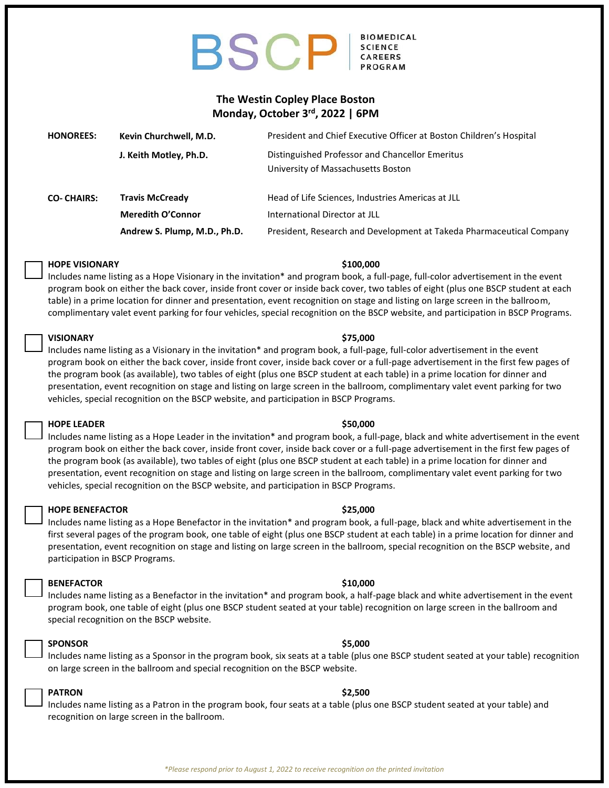## **BIOMEDICAL BSCP CAREERS**

## **The Westin Copley Place Boston Monday, October 3 rd , 2022 | 6PM**

| <b>HONOREES:</b>  | Kevin Churchwell, M.D.       | President and Chief Executive Officer at Boston Children's Hospital                   |
|-------------------|------------------------------|---------------------------------------------------------------------------------------|
|                   | J. Keith Motley, Ph.D.       | Distinguished Professor and Chancellor Emeritus<br>University of Massachusetts Boston |
| <b>CO-CHAIRS:</b> | <b>Travis McCready</b>       | Head of Life Sciences, Industries Americas at JLL                                     |
|                   | <b>Meredith O'Connor</b>     | International Director at JLL                                                         |
|                   | Andrew S. Plump, M.D., Ph.D. | President, Research and Development at Takeda Pharmaceutical Company                  |

## **HOPE VISIONARY \$100,000**

Includes name listing as a Hope Visionary in the invitation\* and program book, a full-page, full-color advertisement in the event program book on either the back cover, inside front cover or inside back cover, two tables of eight (plus one BSCP student at each table) in a prime location for dinner and presentation, event recognition on stage and listing on large screen in the ballroom, complimentary valet event parking for four vehicles, special recognition on the BSCP website, and participation in BSCP Programs.

## **VISIONARY \$75,000**

Includes name listing as a Visionary in the invitation\* and program book, a full-page, full-color advertisement in the event program book on either the back cover, inside front cover, inside back cover or a full-page advertisement in the first few pages of the program book (as available), two tables of eight (plus one BSCP student at each table) in a prime location for dinner and presentation, event recognition on stage and listing on large screen in the ballroom, complimentary valet event parking for two vehicles, special recognition on the BSCP website, and participation in BSCP Programs.

## **HOPE LEADER \$50,000**

Includes name listing as a Hope Leader in the invitation\* and program book, a full-page, black and white advertisement in the event program book on either the back cover, inside front cover, inside back cover or a full-page advertisement in the first few pages of the program book (as available), two tables of eight (plus one BSCP student at each table) in a prime location for dinner and presentation, event recognition on stage and listing on large screen in the ballroom, complimentary valet event parking for two vehicles, special recognition on the BSCP website, and participation in BSCP Programs.

## **HOPE BENEFACTOR \$25,000**

Includes name listing as a Hope Benefactor in the invitation\* and program book, a full-page, black and white advertisement in the first several pages of the program book, one table of eight (plus one BSCP student at each table) in a prime location for dinner and presentation, event recognition on stage and listing on large screen in the ballroom, special recognition on the BSCP website, and participation in BSCP Programs.

## **BENEFACTOR \$10,000**

Includes name listing as a Benefactor in the invitation\* and program book, a half-page black and white advertisement in the event program book, one table of eight (plus one BSCP student seated at your table) recognition on large screen in the ballroom and special recognition on the BSCP website.

## **SPONSOR \$5,000**

Includes name listing as a Sponsor in the program book, six seats at a table (plus one BSCP student seated at your table) recognition

# on large screen in the ballroom and special recognition on the BSCP website.

**PATRON \$2,500** Includes name listing as a Patron in the program book, four seats at a table (plus one BSCP student seated at your table) and recognition on large screen in the ballroom.

### *\*Please respond prior to August 1, 2022 to receive recognition on the printed invitation*